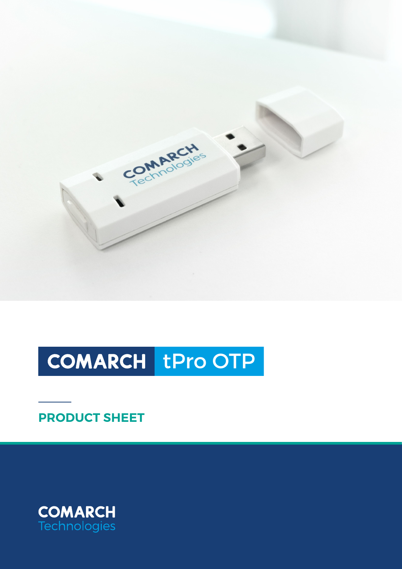

# COMARCH tPro OTP

**PRODUCT SHEET**